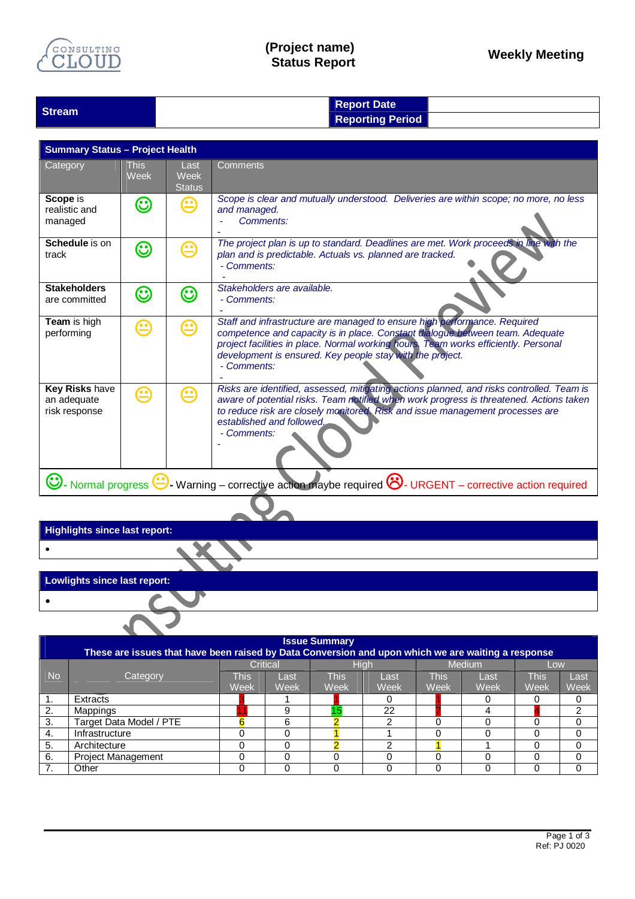

## **(Project name) Status Report Weekly Meeting**

| <b>Stream</b> | <b>Report Date</b>      |  |
|---------------|-------------------------|--|
|               | <b>Reporting Period</b> |  |
|               |                         |  |

| <b>Summary Status - Project Health</b>                                                                                 |                     |                               |                                                                                                                                                                                                                                                                                                                               |  |  |  |
|------------------------------------------------------------------------------------------------------------------------|---------------------|-------------------------------|-------------------------------------------------------------------------------------------------------------------------------------------------------------------------------------------------------------------------------------------------------------------------------------------------------------------------------|--|--|--|
| Category                                                                                                               | <b>This</b><br>Week | Last<br>Week<br><b>Status</b> | Comments                                                                                                                                                                                                                                                                                                                      |  |  |  |
| Scope is<br>realistic and<br>managed                                                                                   | ☺                   | అ                             | Scope is clear and mutually understood. Deliveries are within scope; no more, no less<br>and managed.<br>Comments:                                                                                                                                                                                                            |  |  |  |
| Schedule is on<br>track                                                                                                | ☺                   | అ                             | The project plan is up to standard. Deadlines are met. Work proceeds in line with the<br>plan and is predictable. Actuals vs. planned are tracked.<br>- Comments:                                                                                                                                                             |  |  |  |
| <b>Stakeholders</b><br>are committed                                                                                   | $\bm{\mathbb{C}}$   | $\bm{\odot}$                  | Stakeholders are available.<br>- Comments:                                                                                                                                                                                                                                                                                    |  |  |  |
| Team is high<br>performing                                                                                             | $\bm \odot$         | ⊕                             | Staff and infrastructure are managed to ensure high performance. Required<br>competence and capacity is in place. Constant dialogue between team. Adequate<br>project facilities in place. Normal working hours. Team works efficiently. Personal<br>development is ensured. Key people stay with the project.<br>- Comments: |  |  |  |
| Key Risks have<br>an adequate<br>risk response                                                                         | <b>60</b>           | ඏ                             | Risks are identified, assessed, mitigating actions planned, and risks controlled. Team is<br>aware of potential risks. Team notified when work progress is threatened. Actions taken<br>to reduce risk are closely monitored. Risk and issue management processes are<br>established and followed.<br>- Comments:             |  |  |  |
| - Normal progress $\bigcirc$ Warning – corrective action maybe required $\bigcirc$ URGENT – corrective action required |                     |                               |                                                                                                                                                                                                                                                                                                                               |  |  |  |

| <b>Highlights since last report:</b> |
|--------------------------------------|
|--------------------------------------|

 $\bullet$ 

| Lowlights since last report: |  |
|------------------------------|--|
|                              |  |
|                              |  |

▶

 $\ddot{\phantom{a}}$ 

| <b>Issue Summary</b><br>These are issues that have been raised by Data Conversion and upon which we are waiting a response |                           |                 |      |             |      |        |      |      |      |  |
|----------------------------------------------------------------------------------------------------------------------------|---------------------------|-----------------|------|-------------|------|--------|------|------|------|--|
|                                                                                                                            | Category                  | <b>Critical</b> |      |             | High | Medium |      | Low  |      |  |
| <b>No</b>                                                                                                                  |                           | This            | Last | <b>This</b> | Last | This   | Last | This | Last |  |
|                                                                                                                            |                           | Week            | Week | Week        | Week | Week   | Week | Week | Week |  |
|                                                                                                                            | Extracts                  |                 |      |             |      |        |      |      |      |  |
| 2.                                                                                                                         | Mappings                  |                 | 9    | 15          | 22   |        |      |      | ◠    |  |
| 3.                                                                                                                         | Target Data Model / PTE   |                 | 6    |             |      |        |      |      |      |  |
| 4.                                                                                                                         | Infrastructure            |                 |      |             |      |        |      | O    |      |  |
| 5.                                                                                                                         | Architecture              |                 |      |             | ົ    |        |      |      |      |  |
| 6.                                                                                                                         | <b>Project Management</b> |                 |      |             |      |        |      |      |      |  |
|                                                                                                                            | Other                     |                 |      |             |      |        |      |      |      |  |